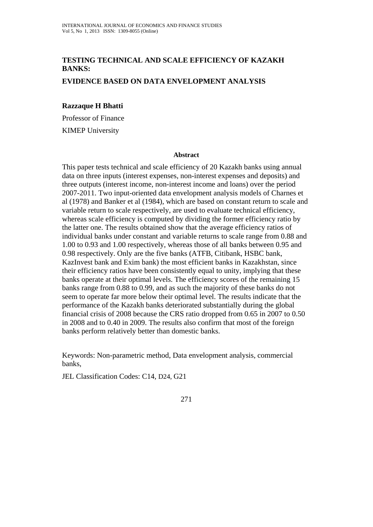# **TESTING TECHNICAL AND SCALE EFFICIENCY OF KAZAKH BANKS:**

### **EVIDENCE BASED ON DATA ENVELOPMENT ANALYSIS**

### **Razzaque H Bhatti**

Professor of Finance KIMEP University

#### **Abstract**

This paper tests technical and scale efficiency of 20 Kazakh banks using annual data on three inputs (interest expenses, non-interest expenses and deposits) and three outputs (interest income, non-interest income and loans) over the period 2007-2011. Two input-oriented data envelopment analysis models of Charnes et al (1978) and Banker et al (1984), which are based on constant return to scale and variable return to scale respectively, are used to evaluate technical efficiency, whereas scale efficiency is computed by dividing the former efficiency ratio by the latter one. The results obtained show that the average efficiency ratios of individual banks under constant and variable returns to scale range from 0.88 and 1.00 to 0.93 and 1.00 respectively, whereas those of all banks between 0.95 and 0.98 respectively. Only are the five banks (ATFB, Citibank, HSBC bank, KazInvest bank and Exim bank) the most efficient banks in Kazakhstan, since their efficiency ratios have been consistently equal to unity, implying that these banks operate at their optimal levels. The efficiency scores of the remaining 15 banks range from 0.88 to 0.99, and as such the majority of these banks do not seem to operate far more below their optimal level. The results indicate that the performance of the Kazakh banks deteriorated substantially during the global financial crisis of 2008 because the CRS ratio dropped from 0.65 in 2007 to 0.50 in 2008 and to 0.40 in 2009. The results also confirm that most of the foreign banks perform relatively better than domestic banks.

Keywords: Non-parametric method, Data envelopment analysis, commercial banks,

JEL Classification Codes: C14, D24, G21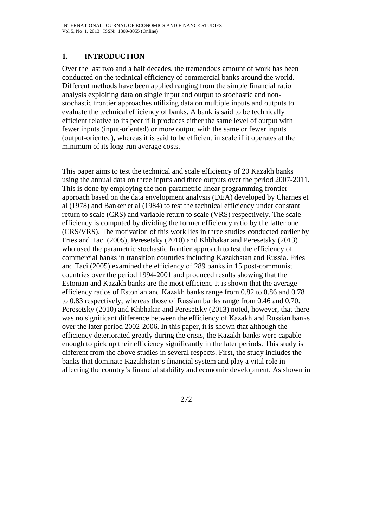# **1. INTRODUCTION**

Over the last two and a half decades, the tremendous amount of work has been conducted on the technical efficiency of commercial banks around the world. Different methods have been applied ranging from the simple financial ratio analysis exploiting data on single input and output to stochastic and nonstochastic frontier approaches utilizing data on multiple inputs and outputs to evaluate the technical efficiency of banks. A bank is said to be technically efficient relative to its peer if it produces either the same level of output with fewer inputs (input-oriented) or more output with the same or fewer inputs (output-oriented), whereas it is said to be efficient in scale if it operates at the minimum of its long-run average costs.

This paper aims to test the technical and scale efficiency of 20 Kazakh banks using the annual data on three inputs and three outputs over the period 2007-2011. This is done by employing the non-parametric linear programming frontier approach based on the data envelopment analysis (DEA) developed by Charnes et al (1978) and Banker et al (1984) to test the technical efficiency under constant return to scale (CRS) and variable return to scale (VRS) respectively. The scale efficiency is computed by dividing the former efficiency ratio by the latter one (CRS/VRS). The motivation of this work lies in three studies conducted earlier by Fries and Taci (2005), Peresetsky (2010) and Khbhakar and Peresetsky (2013) who used the parametric stochastic frontier approach to test the efficiency of commercial banks in transition countries including Kazakhstan and Russia. Fries and Taci (2005) examined the efficiency of 289 banks in 15 post-communist countries over the period 1994-2001 and produced results showing that the Estonian and Kazakh banks are the most efficient. It is shown that the average efficiency ratios of Estonian and Kazakh banks range from 0.82 to 0.86 and 0.78 to 0.83 respectively, whereas those of Russian banks range from 0.46 and 0.70. Peresetsky (2010) and Khbhakar and Peresetsky (2013) noted, however, that there was no significant difference between the efficiency of Kazakh and Russian banks over the later period 2002-2006. In this paper, it is shown that although the efficiency deteriorated greatly during the crisis, the Kazakh banks were capable enough to pick up their efficiency significantly in the later periods. This study is different from the above studies in several respects. First, the study includes the banks that dominate Kazakhstan's financial system and play a vital role in affecting the country's financial stability and economic development. As shown in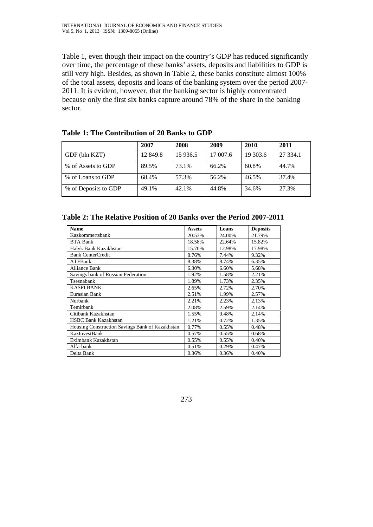Table 1, even though their impact on the country's GDP has reduced significantly over time, the percentage of these banks' assets, deposits and liabilities to GDP is still very high. Besides, as shown in Table 2, these banks constitute almost 100% of the total assets, deposits and loans of the banking system over the period 2007- 2011. It is evident, however, that the banking sector is highly concentrated because only the first six banks capture around 78% of the share in the banking sector.

|                      | 2007     | 2008      | 2009     | 2010     | 2011     |
|----------------------|----------|-----------|----------|----------|----------|
| GDP (bln.KZT)        | 12 849.8 | 15 9 36.5 | 17 007.6 | 19 303.6 | 27 334.1 |
| % of Assets to GDP   | 89.5%    | 73.1%     | 66.2%    | 60.8%    | 44.7%    |
| % of Loans to GDP    | 68.4%    | 57.3%     | 56.2%    | 46.5%    | 37.4%    |
| % of Deposits to GDP | 49.1%    | 42.1%     | 44.8%    | 34.6%    | 27.3%    |

### **Table 1: The Contribution of 20 Banks to GDP**

#### **Table 2: The Relative Position of 20 Banks over the Period 2007-2011**

| <b>Name</b>                                     | <b>Assets</b> | Loans  | <b>Deposits</b> |
|-------------------------------------------------|---------------|--------|-----------------|
| Kazkommertsbank                                 | 20.53%        | 24.00% | 21.79%          |
| <b>BTA Bank</b>                                 | 18.58%        | 22.64% | 15.82%          |
| Halyk Bank Kazakhstan                           | 15.70%        | 12.98% | 17.98%          |
| <b>Bank CenterCredit</b>                        | 8.76%         | 7.44%  | 9.32%           |
| ATFBank                                         | 8.38%         | 8.74%  | 6.35%           |
| <b>Alliance Bank</b>                            | 6.30%         | 6.60%  | 5.68%           |
| Savings bank of Russian Federation              | 1.92%         | 1.58%  | 2.21%           |
| Tsesnabank                                      | 1.89%         | 1.73%  | 2.35%           |
| <b>KASPI BANK</b>                               | 2.65%         | 2.72%  | 2.70%           |
| Eurasian Bank                                   | 2.51%         | 1.99%  | 2.57%           |
| Nurbank                                         | 2.21%         | 2.23%  | 2.13%           |
| Temirbank                                       | 2.08%         | 2.59%  | 2.14%           |
| Citibank Kazakhstan                             | 1.55%         | 0.48%  | 2.14%           |
| <b>HSBC Bank Kazakhstan</b>                     | 1.21%         | 0.72%  | 1.35%           |
| Housing Construction Savings Bank of Kazakhstan | 0.77%         | 0.55%  | 0.48%           |
| KazInvestBank                                   | 0.57%         | 0.55%  | 0.68%           |
| Eximbank Kazakhstan                             | 0.55%         | 0.55%  | 0.40%           |
| Alfa-bank                                       | 0.51%         | 0.29%  | 0.47%           |
| Delta Bank                                      | 0.36%         | 0.36%  | 0.40%           |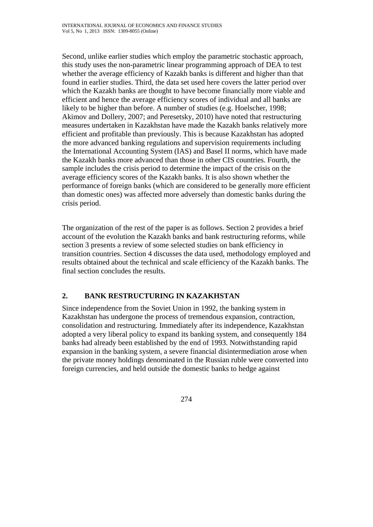Second, unlike earlier studies which employ the parametric stochastic approach, this study uses the non-parametric linear programming approach of DEA to test whether the average efficiency of Kazakh banks is different and higher than that found in earlier studies. Third, the data set used here covers the latter period over which the Kazakh banks are thought to have become financially more viable and efficient and hence the average efficiency scores of individual and all banks are likely to be higher than before. A number of studies (e.g. Hoelscher, 1998; Akimov and Dollery, 2007; and Peresetsky, 2010) have noted that restructuring measures undertaken in Kazakhstan have made the Kazakh banks relatively more efficient and profitable than previously. This is because Kazakhstan has adopted the more advanced banking regulations and supervision requirements including the International Accounting System (IAS) and Basel II norms, which have made the Kazakh banks more advanced than those in other CIS countries. Fourth, the sample includes the crisis period to determine the impact of the crisis on the average efficiency scores of the Kazakh banks. It is also shown whether the performance of foreign banks (which are considered to be generally more efficient than domestic ones) was affected more adversely than domestic banks during the crisis period.

The organization of the rest of the paper is as follows. Section 2 provides a brief account of the evolution the Kazakh banks and bank restructuring reforms, while section 3 presents a review of some selected studies on bank efficiency in transition countries. Section 4 discusses the data used, methodology employed and results obtained about the technical and scale efficiency of the Kazakh banks. The final section concludes the results.

# **2. BANK RESTRUCTURING IN KAZAKHSTAN**

Since independence from the Soviet Union in 1992, the banking system in Kazakhstan has undergone the process of tremendous expansion, contraction, consolidation and restructuring. Immediately after its independence, Kazakhstan adopted a very liberal policy to expand its banking system, and consequently 184 banks had already been established by the end of 1993. Notwithstanding rapid expansion in the banking system, a severe financial disintermediation arose when the private money holdings denominated in the Russian ruble were converted into foreign currencies, and held outside the domestic banks to hedge against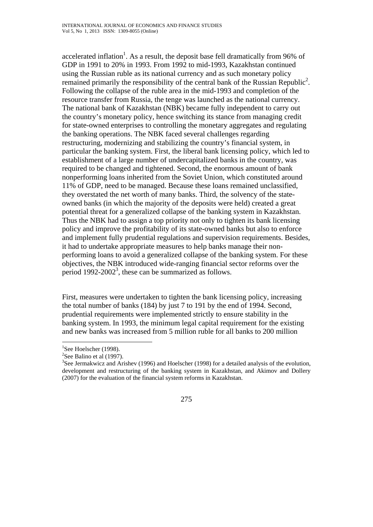accelerated inflation<sup>1</sup>. As a result, the deposit base fell dramatically from 96% of GDP in 1991 to 20% in 1993. From 1992 to mid-1993, Kazakhstan continued using the Russian ruble as its national currency and as such monetary policy remained primarily the responsibility of the central bank of the Russian Republic<sup>2</sup>. Following the collapse of the ruble area in the mid-1993 and completion of the resource transfer from Russia, the tenge was launched as the national currency. The national bank of Kazakhstan (NBK) became fully independent to carry out the country's monetary policy, hence switching its stance from managing credit for state-owned enterprises to controlling the monetary aggregates and regulating the banking operations. The NBK faced several challenges regarding restructuring, modernizing and stabilizing the country's financial system, in particular the banking system. First, the liberal bank licensing policy, which led to establishment of a large number of undercapitalized banks in the country, was required to be changed and tightened. Second, the enormous amount of bank nonperforming loans inherited from the Soviet Union, which constituted around 11% of GDP, need to be managed. Because these loans remained unclassified, they overstated the net worth of many banks. Third, the solvency of the stateowned banks (in which the majority of the deposits were held) created a great potential threat for a generalized collapse of the banking system in Kazakhstan. Thus the NBK had to assign a top priority not only to tighten its bank licensing policy and improve the profitability of its state-owned banks but also to enforce and implement fully prudential regulations and supervision requirements. Besides, it had to undertake appropriate measures to help banks manage their nonperforming loans to avoid a generalized collapse of the banking system. For these objectives, the NBK introduced wide-ranging financial sector reforms over the period  $1992-2002^3$ , these can be summarized as follows.

First, measures were undertaken to tighten the bank licensing policy, increasing the total number of banks (184) by just 7 to 191 by the end of 1994. Second, prudential requirements were implemented strictly to ensure stability in the banking system. In 1993, the minimum legal capital requirement for the existing and new banks was increased from 5 million ruble for all banks to 200 million

 $\overline{a}$ 

 $3$ See Jermakwicz and Arishev (1996) and Hoelscher (1998) for a detailed analysis of the evolution, development and restructuring of the banking system in Kazakhstan, and Akimov and Dollery (2007) for the evaluation of the financial system reforms in Kazakhstan.



<sup>&</sup>lt;sup>1</sup>See Hoelscher (1998).

 $2$ See Balino et al (1997).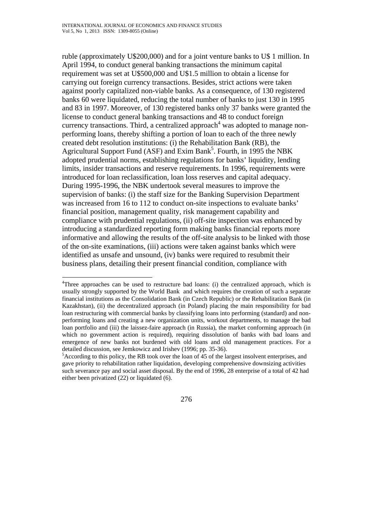ruble (approximately U\$200,000) and for a joint venture banks to U\$ 1 million. In April 1994, to conduct general banking transactions the minimum capital requirement was set at U\$500,000 and U\$1.5 million to obtain a license for carrying out foreign currency transactions. Besides, strict actions were taken against poorly capitalized non-viable banks. As a consequence, of 130 registered banks 60 were liquidated, reducing the total number of banks to just 130 in 1995 and 83 in 1997. Moreover, of 130 registered banks only 37 banks were granted the license to conduct general banking transactions and 48 to conduct foreign currency transactions. Third, a centralized approach<sup>4</sup> was adopted to manage nonperforming loans, thereby shifting a portion of loan to each of the three newly created debt resolution institutions: (i) the Rehabilitation Bank (RB), the Agricultural Support Fund (ASF) and Exim Bank<sup>5</sup>. Fourth, in 1995 the NBK adopted prudential norms, establishing regulations for banks' liquidity, lending limits, insider transactions and reserve requirements. In 1996, requirements were introduced for loan reclassification, loan loss reserves and capital adequacy. During 1995-1996, the NBK undertook several measures to improve the supervision of banks: (i) the staff size for the Banking Supervision Department was increased from 16 to 112 to conduct on-site inspections to evaluate banks' financial position, management quality, risk management capability and compliance with prudential regulations, (ii) off-site inspection was enhanced by introducing a standardized reporting form making banks financial reports more informative and allowing the results of the off-site analysis to be linked with those of the on-site examinations, (iii) actions were taken against banks which were identified as unsafe and unsound, (iv) banks were required to resubmit their business plans, detailing their present financial condition, compliance with

 4 Three approaches can be used to restructure bad loans: (i) the centralized approach, which is usually strongly supported by the World Bank and which requires the creation of such a separate financial institutions as the Consolidation Bank (in Czech Republic) or the Rehabilitation Bank (in Kazakhstan), (ii) the decentralized approach (in Poland) placing the main responsibility for bad loan restructuring with commercial banks by classifying loans into performing (standard) and nonperforming loans and creating a new organization units, workout departments, to manage the bad loan portfolio and (iii) the laissez-faire approach (in Russia), the market conforming approach (in which no government action is required), requiring dissolution of banks with bad loans and emergence of new banks not burdened with old loans and old management practices. For a detailed discussion, see Jemkowicz and Irishev (1996; pp. 35-36).

<sup>&</sup>lt;sup>5</sup> According to this policy, the RB took over the loan of 45 of the largest insolvent enterprises, and gave priority to rehabilitation rather liquidation, developing comprehensive downsizing activities such severance pay and social asset disposal. By the end of 1996, 28 enterprise of a total of 42 had either been privatized (22) or liquidated (6).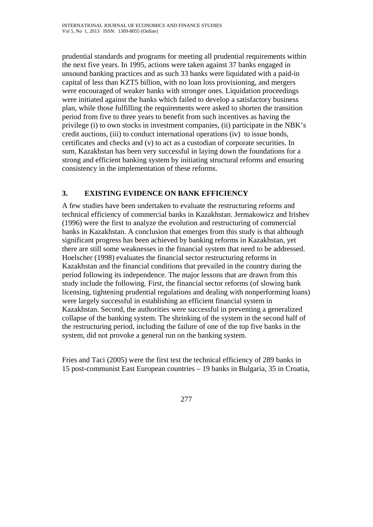prudential standards and programs for meeting all prudential requirements within the next five years. In 1995, actions were taken against 37 banks engaged in unsound banking practices and as such 33 banks were liquidated with a paid-in capital of less than KZT5 billion, with no loan loss provisioning, and mergers were encouraged of weaker banks with stronger ones. Liquidation proceedings were initiated against the banks which failed to develop a satisfactory business plan, while those fulfilling the requirements were asked to shorten the transition period from five to three years to benefit from such incentives as having the privilege (i) to own stocks in investment companies, (ii) participate in the NBK's credit auctions, (iii) to conduct international operations (iv) to issue bonds, certificates and checks and (v) to act as a custodian of corporate securities. In sum, Kazakhstan has been very successful in laying down the foundations for a strong and efficient banking system by initiating structural reforms and ensuring consistency in the implementation of these reforms.

## **3. EXISTING EVIDENCE ON BANK EFFICIENCY**

A few studies have been undertaken to evaluate the restructuring reforms and technical efficiency of commercial banks in Kazakhstan. Jermakowicz and Irishev (1996) were the first to analyze the evolution and restructuring of commercial banks in Kazakhstan. A conclusion that emerges from this study is that although significant progress has been achieved by banking reforms in Kazakhstan, yet there are still some weaknesses in the financial system that need to be addressed. Hoelscher (1998) evaluates the financial sector restructuring reforms in Kazakhstan and the financial conditions that prevailed in the country during the period following its independence. The major lessons that are drawn from this study include the following. First, the financial sector reforms (of slowing bank licensing, tightening prudential regulations and dealing with nonperforming loans) were largely successful in establishing an efficient financial system in Kazakhstan. Second, the authorities were successful in preventing a generalized collapse of the banking system. The shrinking of the system in the second half of the restructuring period, including the failure of one of the top five banks in the system, did not provoke a general run on the banking system.

Fries and Taci (2005) were the first test the technical efficiency of 289 banks in 15 post-communist East European countries – 19 banks in Bulgaria, 35 in Croatia,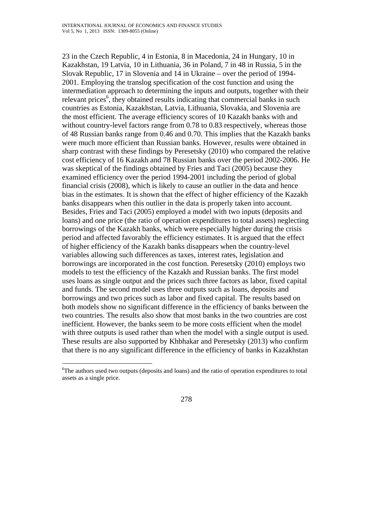23 in the Czech Republic, 4 in Estonia, 8 in Macedonia, 24 in Hungary, 10 in Kazakhstan, 19 Latvia, 10 in Lithuania, 36 in Poland, 7 in 48 in Russia, 5 in the Slovak Republic, 17 in Slovenia and 14 in Ukraine – over the period of 1994- 2001. Employing the translog specification of the cost function and using the intermediation approach to determining the inputs and outputs, together with their relevant prices<sup>6</sup>, they obtained results indicating that commercial banks in such countries as Estonia, Kazakhstan, Latvia, Lithuania, Slovakia, and Slovenia are the most efficient. The average efficiency scores of 10 Kazakh banks with and without country-level factors range from 0.78 to 0.83 respectively, whereas those of 48 Russian banks range from 0.46 and 0.70. This implies that the Kazakh banks were much more efficient than Russian banks. However, results were obtained in sharp contrast with these findings by Peresetsky (2010) who compared the relative cost efficiency of 16 Kazakh and 78 Russian banks over the period 2002-2006. He was skeptical of the findings obtained by Fries and Taci (2005) because they examined efficiency over the period 1994-2001 including the period of global financial crisis (2008), which is likely to cause an outlier in the data and hence bias in the estimates. It is shown that the effect of higher efficiency of the Kazakh banks disappears when this outlier in the data is properly taken into account. Besides, Fries and Taci (2005) employed a model with two inputs (deposits and loans) and one price (the ratio of operation expenditures to total assets) neglecting borrowings of the Kazakh banks, which were especially higher during the crisis period and affected favorably the efficiency estimates. It is argued that the effect of higher efficiency of the Kazakh banks disappears when the country-level variables allowing such differences as taxes, interest rates, legislation and borrowings are incorporated in the cost function. Peresetsky (2010) employs two models to test the efficiency of the Kazakh and Russian banks. The first model uses loans as single output and the prices such three factors as labor, fixed capital and funds. The second model uses three outputs such as loans, deposits and borrowings and two prices such as labor and fixed capital. The results based on both models show no significant difference in the efficiency of banks between the two countries. The results also show that most banks in the two countries are cost inefficient. However, the banks seem to be more costs efficient when the model with three outputs is used rather than when the model with a single output is used. These results are also supported by Khbhakar and Peresetsky (2013) who confirm that there is no any significant difference in the efficiency of banks in Kazakhstan

 $\overline{a}$ 

<sup>&</sup>lt;sup>6</sup>The authors used two outputs (deposits and loans) and the ratio of operation expenditures to total assets as a single price.

<sup>278</sup>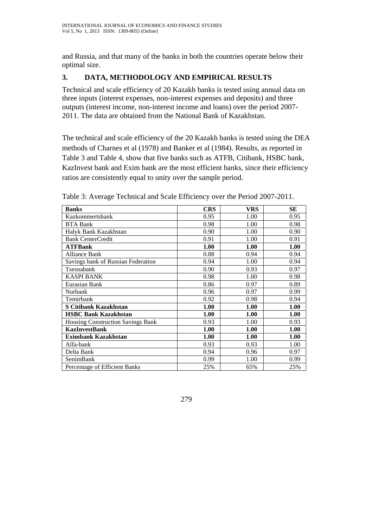and Russia, and that many of the banks in both the countries operate below their optimal size.

# **3. DATA, METHODOLOGY AND EMPIRICAL RESULTS**

Technical and scale efficiency of 20 Kazakh banks is tested using annual data on three inputs (interest expenses, non-interest expenses and deposits) and three outputs (interest income, non-interest income and loans) over the period 2007- 2011. The data are obtained from the National Bank of Kazakhstan.

The technical and scale efficiency of the 20 Kazakh banks is tested using the DEA methods of Charnes et al (1978) and Banker et al (1984). Results, as reported in Table 3 and Table 4, show that five banks such as ATFB, Citibank, HSBC bank, KazInvest bank and Exim bank are the most efficient banks, since their efficiency ratios are consistently equal to unity over the sample period.

| <b>Banks</b>                             | <b>CRS</b> | <b>VRS</b> | SЕ   |
|------------------------------------------|------------|------------|------|
| Kazkommertsbank                          | 0.95       | 1.00       | 0.95 |
| <b>BTA Bank</b>                          | 0.98       | 1.00       | 0.98 |
| Halyk Bank Kazakhstan                    | 0.90       | 1.00       | 0.90 |
| <b>Bank CenterCredit</b>                 | 0.91       | 1.00       | 0.91 |
| <b>ATFBank</b>                           | 1.00       | 1.00       | 1.00 |
| <b>Alliance Bank</b>                     | 0.88       | 0.94       | 0.94 |
| Savings bank of Russian Federation       | 0.94       | 1.00       | 0.94 |
| Tsesnabank                               | 0.90       | 0.93       | 0.97 |
| <b>KASPI BANK</b>                        | 0.98       | 1.00       | 0.98 |
| Eurasian Bank                            | 0.86       | 0.97       | 0.89 |
| Nurbank                                  | 0.96       | 0.97       | 0.99 |
| Temirbank                                | 0.92       | 0.98       | 0.94 |
| S Citibank Kazakhstan                    | 1.00       | 1.00       | 1.00 |
| <b>HSBC Bank Kazakhstan</b>              | 1.00       | 1.00       | 1.00 |
| <b>Housing Construction Savings Bank</b> | 0.93       | 1.00       | 0.93 |
| <b>KazInvestBank</b>                     | 1.00       | 1.00       | 1.00 |
| <b>Eximbank Kazakhstan</b>               | 1.00       | 1.00       | 1.00 |
| Alfa-bank                                | 0.93       | 0.93       | 1.00 |
| Delta Bank                               | 0.94       | 0.96       | 0.97 |
| SenimBank                                | 0.99       | 1.00       | 0.99 |
| Percentage of Efficient Banks            | 25%        | 65%        | 25%  |

Table 3: Average Technical and Scale Efficiency over the Period 2007-2011.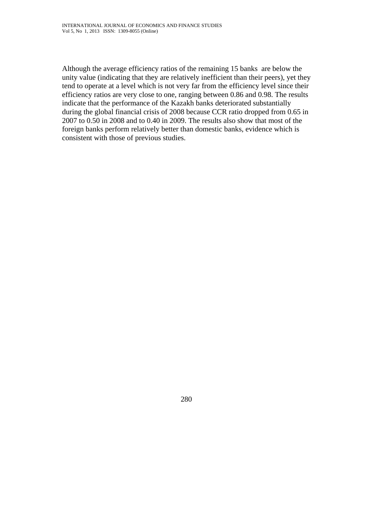Although the average efficiency ratios of the remaining 15 banks are below the unity value (indicating that they are relatively inefficient than their peers), yet they tend to operate at a level which is not very far from the efficiency level since their efficiency ratios are very close to one, ranging between 0.86 and 0.98. The results indicate that the performance of the Kazakh banks deteriorated substantially during the global financial crisis of 2008 because CCR ratio dropped from 0.65 in 2007 to 0.50 in 2008 and to 0.40 in 2009. The results also show that most of the foreign banks perform relatively better than domestic banks, evidence which is consistent with those of previous studies.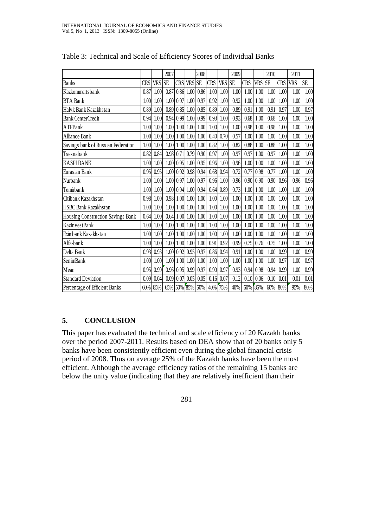|                                    |      |         | 2007     |                |        | 2008                |            |               | 2009      |            |      | 2010      |            | 2011     |           |
|------------------------------------|------|---------|----------|----------------|--------|---------------------|------------|---------------|-----------|------------|------|-----------|------------|----------|-----------|
| <b>Banks</b>                       | CRS  | VRS SE  |          | <b>CRS</b>     | VRS SE |                     | <b>CRS</b> | VRS           | <b>SE</b> | <b>CRS</b> | VRS  | <b>SE</b> | <b>CRS</b> | VRS      | <b>SE</b> |
| Kazkommertsbank                    | 0.87 | 1.00    | 0.87     | 0.86           | 1.00   | 0.86                | 1.00       | 1.00          | 1.00      | 1.00       | 1.00 | 1.00      | 1.00       | $1.00\,$ | 1.00      |
| <b>BTA Bank</b>                    | 1.00 | 1.00    |          | $1.00 \, 0.97$ | 1.00   | 0.97                | 0.92       | 1.00          | 0.92      | 1.00       | 1.00 | 1.00      | 1.00       | 1.00     | 1.00      |
| Halyk Bank Kazakhstan              | 0.89 | 1.00    |          | $0.89 \, 0.85$ | 1.00   | 0.85                | 0.89       | $1.00\,$      | 0.89      | 0.91       | 1.00 | 0.91      | 0.97       | 1.00     | 0.97      |
| <b>Bank CenterCredit</b>           | 0.94 | 1.00    |          | $0.94 \, 0.99$ | 1.00   | 0.99                | 0.93       | 1.00          | 0.93      | 0.68       | 1.00 | 0.68      | 1.00       | 1.00     | 1.00      |
| <b>ATFBank</b>                     | 1.00 | 1.00    | $1.00\,$ | 1.00           | 1.00   | 1.00                | $1.00\,$   | $1.00\,$      | 1.00      | 0.98       | 1.00 | 0.98      | 1.00       | 1.00     | 1.00      |
| <b>Alliance Bank</b>               | 1.00 | 1.00    | 1.00     | 1.00           |        | 1.00 1.00           | 0.40       | 0.70          | 0.57      | 1.00       | 1.00 | $1.00\,$  | 1.00       | 1.00     | 1.00      |
| Savings bank of Russian Federation | 1.00 | 1.00    | 1.00     | 1.00           | 1.00   | 1.00                | 0.82       | 1.00          | 0.82      | 0.88       | 1.00 | 0.88      | 1.00       | 1.00     | 1.00      |
| Tsesnabank                         | 0.82 | 0.84    |          | $0.98$ 0.71    | 0.79   | 0.90                | 0.97       | 1.00          | 0.97      | 0.97       | 1.00 | 0.97      | 1.00       | 1.00     | 1.00      |
| <b>KASPI BANK</b>                  | 1.00 | 1.00    | 1.00     | 0.95           | 1.00   | 0.95                |            | $0.96$ 1.00   | 0.96      | 1.00       | 1.00 | 1.00      | 1.00       | 1.00     | $1.00\,$  |
| Eurasian Bank                      | 0.95 | 0.95    | $1.00\,$ | 0.92           | 0.98   | 0.94                | 0.68       | 0.94          | 0.72      | 0.77       | 0.98 | 0.77      | 1.00       | 1.00     | 1.00      |
| Nurbank                            | 1.00 | 1.00    | 1.00     | 0.97           | 1.00   | 0.97                | 0.96       | 1.00          | 0.96      | 0.90       | 0.90 | 0.90      | 0.96       | 0.96     | 0.96      |
| Temirbank                          | 1.00 | 1.00    | 1.00     | 0.94           | 1.00   | 0.94                | 0.64       | 0.89          | 0.73      | 1.00       | 1.00 | 1.00      | 1.00       | 1.00     | 1.00      |
| Citibank Kazakhstan                | 0.98 | 1.00    |          |                |        | 0.98 1.00 1.00 1.00 |            | $1.00$ $1.00$ | 1.00      | 1.00       | 1.00 | 1.00      | 1.00       | 1.00     | 1.00      |
| HSBC Bank Kazakhstan               | 1.00 | 1.00    | 1.00     | 1.00           | 1.00   | 1.00                | 1.00       | 1.00          | 1.00      | 1.00       | 1.00 | 1.00      | 1.00       | 1.00     | 1.00      |
| Housing Construction Savings Bank  | 0.64 | 1.00    |          | $0.64$ 1.00    |        | $1.00$ $1.00$       |            | $1.00$ $1.00$ | 1.00      | 1.00       | 1.00 | 1.00      | 1.00       | 1.00     | 1.00      |
| <b>KazInvestBank</b>               | 1.00 | 1.00    |          | $1.00$ $1.00$  |        | $1.00$ $1.00$       |            | $1.00$ $1.00$ | 1.00      | 1.00       | 1.00 | 1.00      | 1.00       | 1.00     | 1.00      |
| Eximbank Kazakhstan                | 1.00 | 1.00    |          |                |        | 1.00 1.00 1.00 1.00 |            | $1.00$ $1.00$ | 1.00      | 1.00       | 1.00 | 1.00      | 1.00       | 1.00     | $1.00\,$  |
| Alfa-bank                          | 1.00 | 1.00    |          | $1.00$ $1.00$  |        | $1.00$ $1.00$       | 0.91       | 0.92          | 0.99      | 0.75       | 0.76 | 0.75      | 1.00       | 1.00     | $1.00\,$  |
| Delta Bank                         | 0.93 | 0.93    |          | 1.00 0.92      | 0.95   | 0.97                | 0.86       | 0.94          | 0.91      | 1.00       | 1.00 | 1.00      | 0.99       | 1.00     | 0.99      |
| SenimBank                          | 1.00 | 1.00    |          | $1.00$ $1.00$  | 1.00   | 1.00                | 1.00       | 1.00          | 1.00      | 1.00       | 1.00 | 1.00      | 0.97       | 1.00     | 0.97      |
| Mean                               | 0.95 | 0.99    |          | $0.96$ 0.95    | 0.99   | 0.97                | 0.90       | 0.97          | 0.93      | 0.94       | 0.98 | 0.94      | 0.99       | 1.00     | 0.99      |
| <b>Standard Deviation</b>          | 0.09 | 0.04    |          | $0.09$ 0.07    | 0.05   | 0.05                | 0.16       | 0.07          | 0.12      | 0.10       | 0.06 | 0.10      | 0.01       | 0.01     | 0.01      |
| Percentage of Efficient Banks      |      | 60% 85% |          |                |        | 65% 50% 85% 50%     | 40%        | 75%           | 40%       | 60% 85%    |      | 60% 80%   |            | 95%      | 80%       |

Table 3: Technical and Scale of Efficiency Scores of Individual Banks

## **5. CONCLUSION**

This paper has evaluated the technical and scale efficiency of 20 Kazakh banks over the period 2007-2011. Results based on DEA show that of 20 banks only 5 banks have been consistently efficient even during the global financial crisis period of 2008. Thus on average 25% of the Kazakh banks have been the most efficient. Although the average efficiency ratios of the remaining 15 banks are below the unity value (indicating that they are relatively inefficient than their